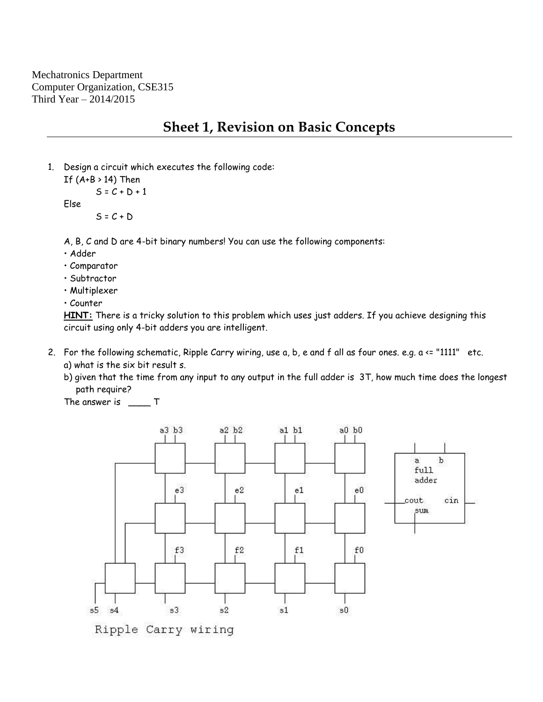Mechatronics Department Computer Organization, CSE315 Third Year – 2014/2015

## **Sheet 1, Revision on Basic Concepts**

1. Design a circuit which executes the following code:

```
If (A+B > 14) Then
S = C + D + 1
```
Else

 $S = C + D$ 

A, B, C and D are 4-bit binary numbers! You can use the following components:

• Adder

- Comparator
- Subtractor
- Multiplexer
- Counter

**HINT:** There is a tricky solution to this problem which uses just adders. If you achieve designing this circuit using only 4-bit adders you are intelligent.

2. For the following schematic, Ripple Carry wiring, use a, b, e and f all as four ones. e.g. a <= "1111" etc. a) what is the six bit result s.

b) given that the time from any input to any output in the full adder is 3T, how much time does the longest path require?

The answer is \_\_\_\_\_ T